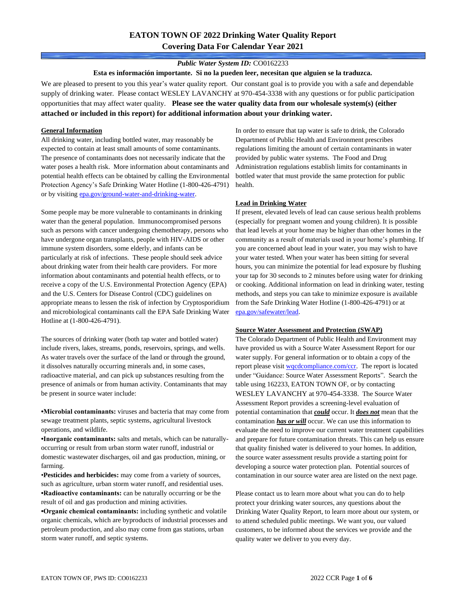# **EATON TOWN OF 2022 Drinking Water Quality Report Covering Data For Calendar Year 2021**

# *Public Water System ID:* CO0162233

**Esta es información importante. Si no la pueden leer, necesitan que alguien se la traduzca.**

We are pleased to present to you this year's water quality report. Our constant goal is to provide you with a safe and dependable supply of drinking water. Please contact WESLEY LAVANCHY at 970-454-3338 with any questions or for public participation opportunities that may affect water quality. **Please see the water quality data from our wholesale system(s) (either attached or included in this report) for additional information about your drinking water.**

### **General Information**

All drinking water, including bottled water, may reasonably be expected to contain at least small amounts of some contaminants. The presence of contaminants does not necessarily indicate that the water poses a health risk. More information about contaminants and potential health effects can be obtained by calling the Environmental Protection Agency's Safe Drinking Water Hotline (1-800-426-4791) or by visiting [epa.gov/ground-water-and-drinking-water.](https://www.epa.gov/ground-water-and-drinking-water)

Some people may be more vulnerable to contaminants in drinking water than the general population. Immunocompromised persons such as persons with cancer undergoing chemotherapy, persons who have undergone organ transplants, people with HIV-AIDS or other immune system disorders, some elderly, and infants can be particularly at risk of infections. These people should seek advice about drinking water from their health care providers. For more information about contaminants and potential health effects, or to receive a copy of the U.S. Environmental Protection Agency (EPA) and the U.S. Centers for Disease Control (CDC) guidelines on appropriate means to lessen the risk of infection by Cryptosporidium and microbiological contaminants call the EPA Safe Drinking Water Hotline at (1-800-426-4791).

The sources of drinking water (both tap water and bottled water) include rivers, lakes, streams, ponds, reservoirs, springs, and wells. As water travels over the surface of the land or through the ground, it dissolves naturally occurring minerals and, in some cases, radioactive material, and can pick up substances resulting from the presence of animals or from human activity. Contaminants that may be present in source water include:

**•Microbial contaminants:** viruses and bacteria that may come from sewage treatment plants, septic systems, agricultural livestock operations, and wildlife.

**•Inorganic contaminants:** salts and metals, which can be naturallyoccurring or result from urban storm water runoff, industrial or domestic wastewater discharges, oil and gas production, mining, or farming.

•**Pesticides and herbicides:** may come from a variety of sources, such as agriculture, urban storm water runoff, and residential uses. **•Radioactive contaminants:** can be naturally occurring or be the result of oil and gas production and mining activities.

**•Organic chemical contaminants:** including synthetic and volatile organic chemicals, which are byproducts of industrial processes and petroleum production, and also may come from gas stations, urban storm water runoff, and septic systems.

In order to ensure that tap water is safe to drink, the Colorado Department of Public Health and Environment prescribes regulations limiting the amount of certain contaminants in water provided by public water systems. The Food and Drug Administration regulations establish limits for contaminants in bottled water that must provide the same protection for public health.

## **Lead in Drinking Water**

If present, elevated levels of lead can cause serious health problems (especially for pregnant women and young children). It is possible that lead levels at your home may be higher than other homes in the community as a result of materials used in your home's plumbing. If you are concerned about lead in your water, you may wish to have your water tested. When your water has been sitting for several hours, you can minimize the potential for lead exposure by flushing your tap for 30 seconds to 2 minutes before using water for drinking or cooking. Additional information on lead in drinking water, testing methods, and steps you can take to minimize exposure is available from the Safe Drinking Water Hotline (1-800-426-4791) or at [epa.gov/safewater/lead.](http://www.epa.gov/safewater/lead) 

#### **Source Water Assessment and Protection (SWAP)**

The Colorado Department of Public Health and Environment may have provided us with a Source Water Assessment Report for our water supply. For general information or to obtain a copy of the report please visit [wqcdcompliance.com/ccr.](https://wqcdcompliance.com/ccr) The report is located under "Guidance: Source Water Assessment Reports". Search the table using 162233, EATON TOWN OF, or by contacting WESLEY LAVANCHY at 970-454-3338. The Source Water Assessment Report provides a screening-level evaluation of potential contamination that *could* occur. It *does not* mean that the contamination *has or will* occur. We can use this information to evaluate the need to improve our current water treatment capabilities and prepare for future contamination threats. This can help us ensure that quality finished water is delivered to your homes. In addition, the source water assessment results provide a starting point for developing a source water protection plan. Potential sources of contamination in our source water area are listed on the next page.

Please contact us to learn more about what you can do to help protect your drinking water sources, any questions about the Drinking Water Quality Report, to learn more about our system, or to attend scheduled public meetings. We want you, our valued customers, to be informed about the services we provide and the quality water we deliver to you every day.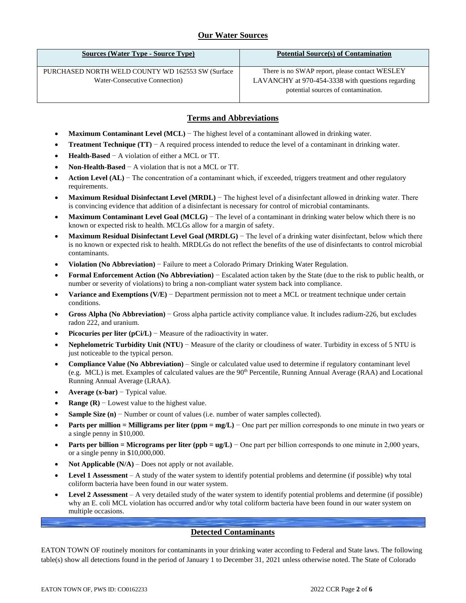# **Our Water Sources**

| <b>Sources (Water Type - Source Type)</b>                                          | <b>Potential Source(s) of Contamination</b>                                                                                                |
|------------------------------------------------------------------------------------|--------------------------------------------------------------------------------------------------------------------------------------------|
| PURCHASED NORTH WELD COUNTY WD 162553 SW (Surface<br>Water-Consecutive Connection) | There is no SWAP report, please contact WESLEY<br>LAVANCHY at 970-454-3338 with questions regarding<br>potential sources of contamination. |

# **Terms and Abbreviations**

- **Maximum Contaminant Level (MCL)** − The highest level of a contaminant allowed in drinking water.
- **Treatment Technique (TT)** − A required process intended to reduce the level of a contaminant in drinking water.
- **Health-Based** − A violation of either a MCL or TT.
- **Non-Health-Based** − A violation that is not a MCL or TT.
- **Action Level (AL)** − The concentration of a contaminant which, if exceeded, triggers treatment and other regulatory requirements.
- **Maximum Residual Disinfectant Level (MRDL)** − The highest level of a disinfectant allowed in drinking water. There is convincing evidence that addition of a disinfectant is necessary for control of microbial contaminants.
- **Maximum Contaminant Level Goal (MCLG)** − The level of a contaminant in drinking water below which there is no known or expected risk to health. MCLGs allow for a margin of safety.
- **Maximum Residual Disinfectant Level Goal (MRDLG)** − The level of a drinking water disinfectant, below which there is no known or expected risk to health. MRDLGs do not reflect the benefits of the use of disinfectants to control microbial contaminants.
- **Violation (No Abbreviation)** − Failure to meet a Colorado Primary Drinking Water Regulation.
- **Formal Enforcement Action (No Abbreviation)** − Escalated action taken by the State (due to the risk to public health, or number or severity of violations) to bring a non-compliant water system back into compliance.
- **Variance and Exemptions (V/E)** − Department permission not to meet a MCL or treatment technique under certain conditions.
- **Gross Alpha (No Abbreviation)** − Gross alpha particle activity compliance value. It includes radium-226, but excludes radon 222, and uranium.
- **Picocuries per liter (pCi/L)** − Measure of the radioactivity in water.
- **Nephelometric Turbidity Unit (NTU)** − Measure of the clarity or cloudiness of water. Turbidity in excess of 5 NTU is just noticeable to the typical person.
- **Compliance Value (No Abbreviation)** Single or calculated value used to determine if regulatory contaminant level (e.g. MCL) is met. Examples of calculated values are the 90<sup>th</sup> Percentile, Running Annual Average (RAA) and Locational Running Annual Average (LRAA).
- **Average (x-bar)** − Typical value.
- **Range (R)**  $-$  Lowest value to the highest value.
- **Sample Size (n)** − Number or count of values (i.e. number of water samples collected).
- **Parts per million = Milligrams per liter (ppm = mg/L)** − One part per million corresponds to one minute in two years or a single penny in \$10,000.
- **Parts per billion = Micrograms per liter (ppb = ug/L)** − One part per billion corresponds to one minute in 2,000 years, or a single penny in \$10,000,000.
- **Not Applicable (N/A)** Does not apply or not available.
- **Level 1 Assessment** A study of the water system to identify potential problems and determine (if possible) why total coliform bacteria have been found in our water system.
- **Level 2 Assessment** A very detailed study of the water system to identify potential problems and determine (if possible) why an E. coli MCL violation has occurred and/or why total coliform bacteria have been found in our water system on multiple occasions.

# **Detected Contaminants**

EATON TOWN OF routinely monitors for contaminants in your drinking water according to Federal and State laws. The following table(s) show all detections found in the period of January 1 to December 31, 2021 unless otherwise noted. The State of Colorado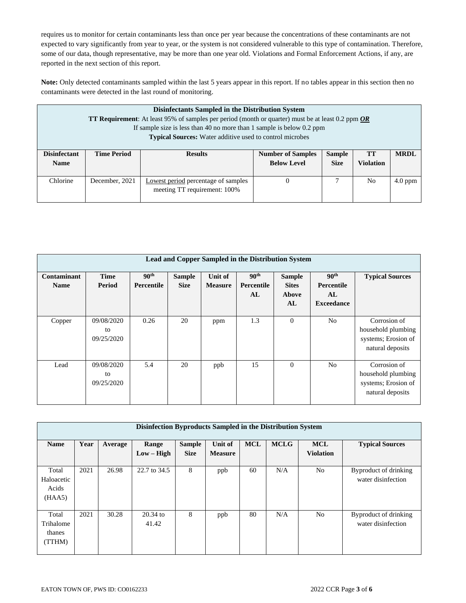requires us to monitor for certain contaminants less than once per year because the concentrations of these contaminants are not expected to vary significantly from year to year, or the system is not considered vulnerable to this type of contamination. Therefore, some of our data, though representative, may be more than one year old. Violations and Formal Enforcement Actions, if any, are reported in the next section of this report.

**Note:** Only detected contaminants sampled within the last 5 years appear in this report. If no tables appear in this section then no contaminants were detected in the last round of monitoring.

| Disinfectants Sampled in the Distribution System<br><b>TT Requirement:</b> At least 95% of samples per period (month or quarter) must be at least 0.2 ppm $OR$<br>If sample size is less than 40 no more than 1 sample is below $0.2$ ppm<br><b>Typical Sources:</b> Water additive used to control microbes |                                                                                                                                                         |                                     |  |  |                |           |
|--------------------------------------------------------------------------------------------------------------------------------------------------------------------------------------------------------------------------------------------------------------------------------------------------------------|---------------------------------------------------------------------------------------------------------------------------------------------------------|-------------------------------------|--|--|----------------|-----------|
| <b>Disinfectant</b><br><b>Name</b>                                                                                                                                                                                                                                                                           | <b>Sample</b><br><b>TT</b><br><b>Time Period</b><br><b>Number of Samples</b><br><b>Results</b><br><b>Below Level</b><br><b>Violation</b><br><b>Size</b> |                                     |  |  | <b>MRDL</b>    |           |
|                                                                                                                                                                                                                                                                                                              |                                                                                                                                                         |                                     |  |  |                |           |
| Chlorine                                                                                                                                                                                                                                                                                                     | December, 2021                                                                                                                                          | Lowest period percentage of samples |  |  | N <sub>0</sub> | $4.0$ ppm |
|                                                                                                                                                                                                                                                                                                              |                                                                                                                                                         | meeting TT requirement: 100%        |  |  |                |           |

| Lead and Copper Sampled in the Distribution System |                                |                                |                              |                           |                                      |                                              |                                                           |                                                                               |
|----------------------------------------------------|--------------------------------|--------------------------------|------------------------------|---------------------------|--------------------------------------|----------------------------------------------|-----------------------------------------------------------|-------------------------------------------------------------------------------|
| Contaminant<br><b>Name</b>                         | <b>Time</b><br>Period          | 90 <sup>th</sup><br>Percentile | <b>Sample</b><br><b>Size</b> | Unit of<br><b>Measure</b> | 90 <sup>th</sup><br>Percentile<br>AL | <b>Sample</b><br><b>Sites</b><br>Above<br>AL | 90 <sup>th</sup><br>Percentile<br>AL<br><b>Exceedance</b> | <b>Typical Sources</b>                                                        |
| Copper                                             | 09/08/2020<br>to<br>09/25/2020 | 0.26                           | 20                           | ppm                       | 1.3                                  | $\mathbf{0}$                                 | N <sub>o</sub>                                            | Corrosion of<br>household plumbing<br>systems; Erosion of<br>natural deposits |
| Lead                                               | 09/08/2020<br>to<br>09/25/2020 | 5.4                            | 20                           | ppb                       | 15                                   | $\mathbf{0}$                                 | No.                                                       | Corrosion of<br>household plumbing<br>systems; Erosion of<br>natural deposits |

| Disinfection Byproducts Sampled in the Distribution System |      |         |                       |                              |                                  |            |             |                                |                                             |
|------------------------------------------------------------|------|---------|-----------------------|------------------------------|----------------------------------|------------|-------------|--------------------------------|---------------------------------------------|
| <b>Name</b>                                                | Year | Average | Range<br>$Low - High$ | <b>Sample</b><br><b>Size</b> | <b>Unit of</b><br><b>Measure</b> | <b>MCL</b> | <b>MCLG</b> | <b>MCL</b><br><b>Violation</b> | <b>Typical Sources</b>                      |
| Total<br>Haloacetic<br>Acids<br>(HAA5)                     | 2021 | 26.98   | 22.7 to 34.5          | 8                            | ppb                              | 60         | N/A         | N <sub>o</sub>                 | Byproduct of drinking<br>water disinfection |
| Total<br>Trihalome<br>thanes<br>(TTHM)                     | 2021 | 30.28   | $20.34$ to<br>41.42   | 8                            | ppb                              | 80         | N/A         | N <sub>o</sub>                 | Byproduct of drinking<br>water disinfection |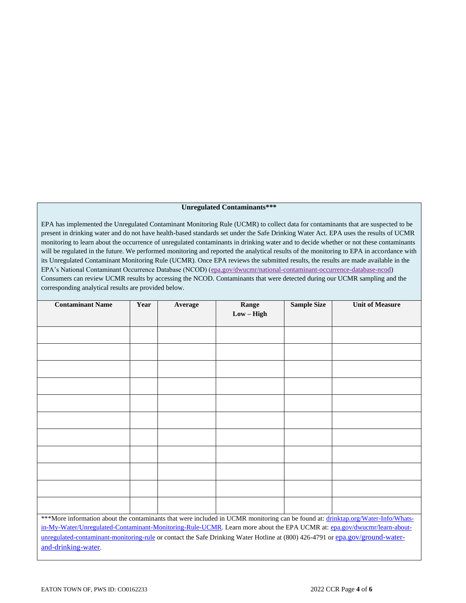#### **Unregulated Contaminants\*\*\***

EPA has implemented the Unregulated Contaminant Monitoring Rule (UCMR) to collect data for contaminants that are suspected to be present in drinking water and do not have health-based standards set under the Safe Drinking Water Act. EPA uses the results of UCMR monitoring to learn about the occurrence of unregulated contaminants in drinking water and to decide whether or not these contaminants will be regulated in the future. We performed monitoring and reported the analytical results of the monitoring to EPA in accordance with its Unregulated Contaminant Monitoring Rule (UCMR). Once EPA reviews the submitted results, the results are made available in the EPA's National Contaminant Occurrence Database (NCOD) [\(epa.gov/dwucmr/national-contaminant-occurrence-database-ncod\)](http://www.epa.gov/dwucmr/national-contaminant-occurrence-database-ncod) Consumers can review UCMR results by accessing the NCOD. Contaminants that were detected during our UCMR sampling and the corresponding analytical results are provided below.

| <b>Contaminant Name</b>                                                                                                          | Year | Average | Range        | <b>Sample Size</b> | <b>Unit of Measure</b> |
|----------------------------------------------------------------------------------------------------------------------------------|------|---------|--------------|--------------------|------------------------|
|                                                                                                                                  |      |         | $Low - High$ |                    |                        |
|                                                                                                                                  |      |         |              |                    |                        |
|                                                                                                                                  |      |         |              |                    |                        |
|                                                                                                                                  |      |         |              |                    |                        |
|                                                                                                                                  |      |         |              |                    |                        |
|                                                                                                                                  |      |         |              |                    |                        |
|                                                                                                                                  |      |         |              |                    |                        |
|                                                                                                                                  |      |         |              |                    |                        |
|                                                                                                                                  |      |         |              |                    |                        |
|                                                                                                                                  |      |         |              |                    |                        |
|                                                                                                                                  |      |         |              |                    |                        |
|                                                                                                                                  |      |         |              |                    |                        |
| ***More information about the contaminants that were included in UCMR monitoring can be found at: drinktap.org/Water-Info/Whats- |      |         |              |                    |                        |
| in-My-Water/Unregulated-Contaminant-Monitoring-Rule-UCMR. Learn more about the EPA UCMR at: epa.gov/dwucmr/learn-about-          |      |         |              |                    |                        |
| unregulated-contaminant-monitoring-rule or contact the Safe Drinking Water Hotline at (800) 426-4791 or epa.gov/ground-water-    |      |         |              |                    |                        |
| and-drinking-water.                                                                                                              |      |         |              |                    |                        |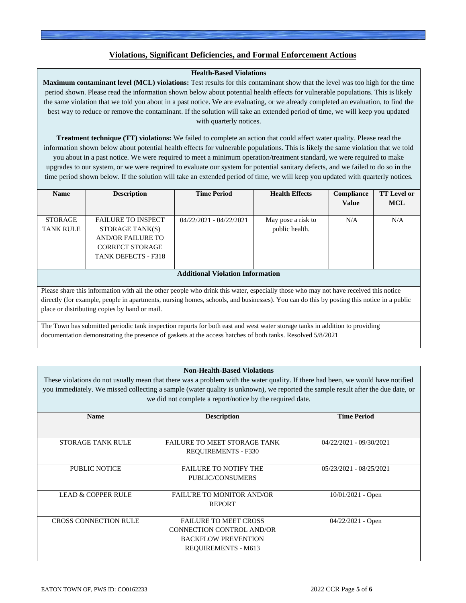# **Violations, Significant Deficiencies, and Formal Enforcement Actions**

# **Health-Based Violations**

**Maximum contaminant level (MCL) violations:** Test results for this contaminant show that the level was too high for the time period shown. Please read the information shown below about potential health effects for vulnerable populations. This is likely the same violation that we told you about in a past notice. We are evaluating, or we already completed an evaluation, to find the best way to reduce or remove the contaminant. If the solution will take an extended period of time, we will keep you updated with quarterly notices.

**Treatment technique (TT) violations:** We failed to complete an action that could affect water quality. Please read the information shown below about potential health effects for vulnerable populations. This is likely the same violation that we told you about in a past notice. We were required to meet a minimum operation/treatment standard, we were required to make upgrades to our system, or we were required to evaluate our system for potential sanitary defects, and we failed to do so in the time period shown below. If the solution will take an extended period of time, we will keep you updated with quarterly notices.

| <b>Name</b>                                                                                                                              | <b>Description</b>         | <b>Time Period</b>        | <b>Health Effects</b> | Compliance   | <b>TT Level or</b> |  |
|------------------------------------------------------------------------------------------------------------------------------------------|----------------------------|---------------------------|-----------------------|--------------|--------------------|--|
|                                                                                                                                          |                            |                           |                       | <b>Value</b> | <b>MCL</b>         |  |
|                                                                                                                                          |                            |                           |                       |              |                    |  |
| <b>STORAGE</b>                                                                                                                           | <b>FAILURE TO INSPECT</b>  | $04/22/2021 - 04/22/2021$ | May pose a risk to    | N/A          | N/A                |  |
| <b>TANK RULE</b>                                                                                                                         | STORAGE TANK(S)            |                           | public health.        |              |                    |  |
|                                                                                                                                          | AND/OR FAILURE TO          |                           |                       |              |                    |  |
|                                                                                                                                          | <b>CORRECT STORAGE</b>     |                           |                       |              |                    |  |
|                                                                                                                                          | <b>TANK DEFECTS - F318</b> |                           |                       |              |                    |  |
|                                                                                                                                          |                            |                           |                       |              |                    |  |
| <b>Additional Violation Information</b>                                                                                                  |                            |                           |                       |              |                    |  |
|                                                                                                                                          |                            |                           |                       |              |                    |  |
| Please share this information with all the other people who drink this water, especially those who may not have received this notice     |                            |                           |                       |              |                    |  |
| directly (for example, people in apartments, pursing homes, schools, and businesses). You can do this by posting this notice in a public |                            |                           |                       |              |                    |  |

directly (for example, people in apartments, nursing homes, schools, and businesses). You can do this by posting this notice in a public place or distributing copies by hand or mail.

The Town has submitted periodic tank inspection reports for both east and west water storage tanks in addition to providing documentation demonstrating the presence of gaskets at the access hatches of both tanks. Resolved 5/8/2021

### **Non-Health-Based Violations**

These violations do not usually mean that there was a problem with the water quality. If there had been, we would have notified you immediately. We missed collecting a sample (water quality is unknown), we reported the sample result after the due date, or we did not complete a report/notice by the required date.

| <b>Name</b>                  | <b>Description</b>                  | <b>Time Period</b>        |
|------------------------------|-------------------------------------|---------------------------|
|                              |                                     |                           |
|                              |                                     |                           |
| <b>STORAGE TANK RULE</b>     | <b>FAILURE TO MEET STORAGE TANK</b> | 04/22/2021 - 09/30/2021   |
|                              | <b>REQUIREMENTS - F330</b>          |                           |
|                              |                                     |                           |
| PUBLIC NOTICE                | <b>FAILURE TO NOTIFY THE</b>        | $05/23/2021 - 08/25/2021$ |
|                              | PUBLIC/CONSUMERS                    |                           |
|                              |                                     |                           |
| LEAD & COPPER RULE           | <b>FAILURE TO MONITOR AND/OR</b>    | $10/01/2021$ - Open       |
|                              | <b>REPORT</b>                       |                           |
|                              |                                     |                           |
| <b>CROSS CONNECTION RULE</b> | <b>FAILURE TO MEET CROSS</b>        | $04/22/2021$ - Open       |
|                              | CONNECTION CONTROL AND/OR           |                           |
|                              | <b>BACKFLOW PREVENTION</b>          |                           |
|                              | <b>REQUIREMENTS - M613</b>          |                           |
|                              |                                     |                           |